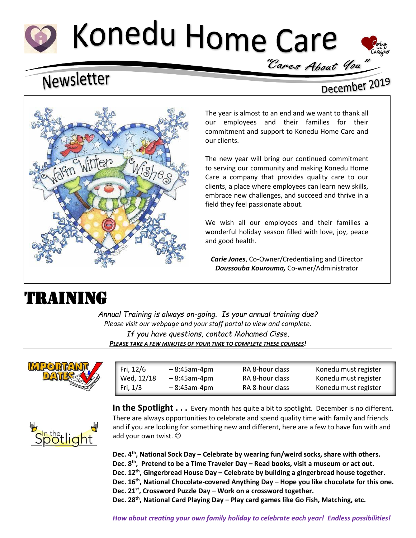# Konedu Home Care



# Newsletter

### December 2019



The year is almost to an end and we want to thank all our employees and their families for their commitment and support to Konedu Home Care and our clients.

The new year will bring our continued commitment to serving our community and making Konedu Home Care a company that provides quality care to our clients, a place where employees can learn new skills, embrace new challenges, and succeed and thrive in a field they feel passionate about.

We wish all our employees and their families a wonderful holiday season filled with love, joy, peace and good health.

*Carie Jones*, Co-Owner/Credentialing and Director *Doussouba Kourouma,* Co-wner/Administrator  $\overline{a}$ 

# TRAINING

*Annual Training is always on-going. Is your annual training due? Please visit our webpage and your staff portal to view and complete. If you have questions, contact Mohamed Cisse. PLEASE TAKE A FEW MINUTES OF YOUR TIME TO COMPLETE THESE COURSES!*



| Fri, 12/6  | $-8:45$ am-4pm | RA 8-hour class | Konedu must register |
|------------|----------------|-----------------|----------------------|
| Wed, 12/18 | $-8:45$ am-4pm | RA 8-hour class | Konedu must register |
| Fri, $1/3$ | $-8:45$ am-4pm | RA 8-hour class | Konedu must register |
|            |                |                 |                      |



**In the Spotlight . . .** Every month has quite a bit to spotlight. December is no different. There are always opportunities to celebrate and spend quality time with family and friends and if you are looking for something new and different, here are a few to have fun with and add your own twist.  $\odot$ 

**Dec. 4th , National Sock Day – Celebrate by wearing fun/weird socks, share with others. Dec. 8th , Pretend to be a Time Traveler Day – Read books, visit a museum or act out. Dec. 12th , Gingerbread House Day – Celebrate by building a gingerbread house together. Dec. 16th, National Chocolate-covered Anything Day – Hope you like chocolate for this one. Dec. 21st , Crossword Puzzle Day – Work on a crossword together. Dec. 28th, National Card Playing Day – Play card games like Go Fish, Matching, etc.**